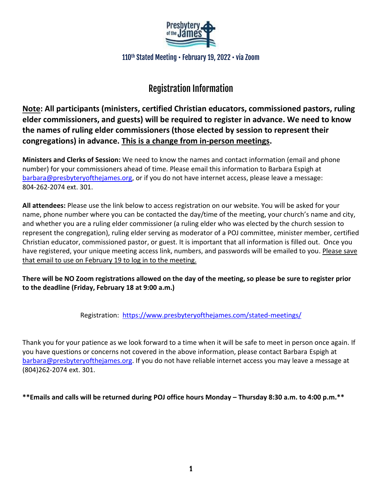

110<sup>th</sup> Stated Meeting • February 19, 2022 • via Zoom

# Registration Information

**Note: All participants (ministers, certified Christian educators, commissioned pastors, ruling elder commissioners, and guests) will be required to register in advance. We need to know the names of ruling elder commissioners (those elected by session to represent their congregations) in advance. This is a change from in-person meetings.**

**Ministers and Clerks of Session:** We need to know the names and contact information (email and phone number) for your commissioners ahead of time. Please email this information to Barbara Espigh at [barbara@presbyteryofthejames.org,](mailto:barbara@presbyteryofthejames.org) or if you do not have internet access, please leave a message: 804-262-2074 ext. 301.

**All attendees:** Please use the link below to access registration on our website. You will be asked for your name, phone number where you can be contacted the day/time of the meeting, your church's name and city, and whether you are a ruling elder commissioner (a ruling elder who was elected by the church session to represent the congregation), ruling elder serving as moderator of a POJ committee, minister member, certified Christian educator, commissioned pastor, or guest. It is important that all information is filled out. Once you have registered, your unique meeting access link, numbers, and passwords will be emailed to you. Please save that email to use on February 19 to log in to the meeting.

**There will be NO Zoom registrations allowed on the day of the meeting, so please be sure to register prior to the deadline (Friday, February 18 at 9:00 a.m.)**

Registration: <https://www.presbyteryofthejames.com/stated-meetings/>

Thank you for your patience as we look forward to a time when it will be safe to meet in person once again. If you have questions or concerns not covered in the above information, please contact Barbara Espigh at [barbara@presbyteryofthejames.org.](mailto:barbara@presbyteryofthejames.org) If you do not have reliable internet access you may leave a message at (804)262-2074 ext. 301.

**\*\*Emails and calls will be returned during POJ office hours Monday – Thursday 8:30 a.m. to 4:00 p.m.\*\***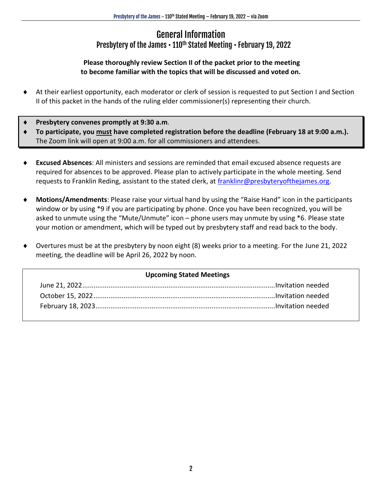### General Information Presbytery of the James • 110<sup>th</sup> Stated Meeting • February 19, 2022

### **Please thoroughly review Section II of the packet prior to the meeting to become familiar with the topics that will be discussed and voted on.**

- At their earliest opportunity, each moderator or clerk of session is requested to put Section I and Section II of this packet in the hands of the ruling elder commissioner(s) representing their church.
- **Presbytery convenes promptly at 9:30 a.m**.
- **To participate, you must have completed registration before the deadline (February 18 at 9:00 a.m.).**  The Zoom link will open at 9:00 a.m. for all commissioners and attendees.
- **Excused Absences**: All ministers and sessions are reminded that email excused absence requests are required for absences to be approved. Please plan to actively participate in the whole meeting. Send requests to Franklin Reding, assistant to the stated clerk, at [franklinr@presbyteryofthejames.org.](mailto:franklinr@presbyteryofthejames.org)
- **Motions/Amendments**: Please raise your virtual hand by using the "Raise Hand" icon in the participants window or by using \*9 if you are participating by phone. Once you have been recognized, you will be asked to unmute using the "Mute/Unmute" icon – phone users may unmute by using \*6. Please state your motion or amendment, which will be typed out by presbytery staff and read back to the body.
- Overtures must be at the presbytery by noon eight (8) weeks prior to a meeting. For the June 21, 2022 meeting, the deadline will be April 26, 2022 by noon.

#### **Upcoming Stated Meetings**